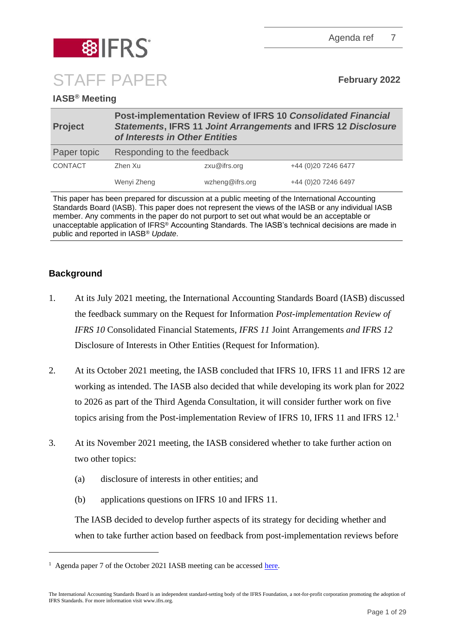Agenda ref 7



# **IASB® Meeting**

| <b>Project</b> | Post-implementation Review of IFRS 10 Consolidated Financial<br><b>Statements, IFRS 11 Joint Arrangements and IFRS 12 Disclosure</b><br>of Interests in Other Entities |                 |                     |  |
|----------------|------------------------------------------------------------------------------------------------------------------------------------------------------------------------|-----------------|---------------------|--|
| Paper topic    | Responding to the feedback                                                                                                                                             |                 |                     |  |
| <b>CONTACT</b> | Zhen Xu                                                                                                                                                                | zxu@ifrs.org    | +44 (0)20 7246 6477 |  |
|                | Wenyi Zheng                                                                                                                                                            | wzheng@ifrs.org | +44 (0)20 7246 6497 |  |

This paper has been prepared for discussion at a public meeting of the International Accounting Standards Board (IASB). This paper does not represent the views of the IASB or any individual IASB member. Any comments in the paper do not purport to set out what would be an acceptable or unacceptable application of IFRS® Accounting Standards. The IASB's technical decisions are made in public and reported in IASB® *Update*.

# **Background**

- 1. At its July 2021 meeting, the International Accounting Standards Board (IASB) discussed the feedback summary on the Request for Information *Post-implementation Review of IFRS 10* Consolidated Financial Statements*, IFRS 11* Joint Arrangements *and IFRS 12* Disclosure of Interests in Other Entities (Request for Information).
- 2. At its October 2021 meeting, the IASB concluded that IFRS 10, IFRS 11 and IFRS 12 are working as intended. The IASB also decided that while developing its work plan for 2022 to 2026 as part of the Third Agenda Consultation, it will consider further work on five topics arising from the Post-implementation Review of IFRS 10, IFRS 11 and IFRS 12.
- 3. At its November 2021 meeting, the IASB considered whether to take further action on two other topics:
	- (a) disclosure of interests in other entities; and
	- (b) applications questions on IFRS 10 and IFRS 11.

The IASB decided to develop further aspects of its strategy for deciding whether and when to take further action based on feedback from post-implementation reviews before

<sup>&</sup>lt;sup>1</sup> Agenda paper 7 of the October 2021 IASB meeting can be accessed [here.](https://www.ifrs.org/content/dam/ifrs/meetings/2021/october/iasb/ap7-responding-to-the-feedback-pir-ifrs-10-11-12.pdf)

The International Accounting Standards Board is an independent standard-setting body of the IFRS Foundation, a not-for-profit corporation promoting the adoption of IFRS Standards. For more information visit www.ifrs.org.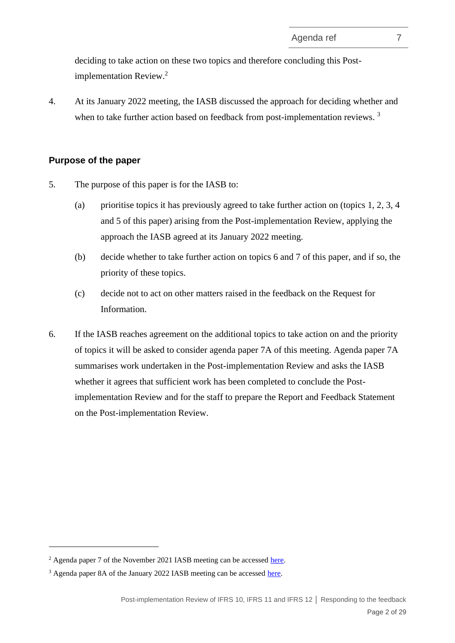deciding to take action on these two topics and therefore concluding this Postimplementation Review. 2

4. At its January 2022 meeting, the IASB discussed the approach for deciding whether and when to take further action based on feedback from post-implementation reviews.<sup>3</sup>

# **Purpose of the paper**

- 5. The purpose of this paper is for the IASB to:
	- (a) prioritise topics it has previously agreed to take further action on (topics 1, 2, 3, 4) and 5 of this paper) arising from the Post-implementation Review, applying the approach the IASB agreed at its January 2022 meeting.
	- (b) decide whether to take further action on topics 6 and 7 of this paper, and if so, the priority of these topics.
	- (c) decide not to act on other matters raised in the feedback on the Request for Information.
- 6. If the IASB reaches agreement on the additional topics to take action on and the priority of topics it will be asked to consider agenda paper 7A of this meeting. Agenda paper 7A summarises work undertaken in the Post-implementation Review and asks the IASB whether it agrees that sufficient work has been completed to conclude the Postimplementation Review and for the staff to prepare the Report and Feedback Statement on the Post-implementation Review.

<sup>&</sup>lt;sup>2</sup> Agenda paper 7 of the November 2021 IASB meeting can be accessed [here.](https://www.ifrs.org/content/dam/ifrs/meetings/2021/november/iasb/ap7-responding-to-the-feedback-pir-ifrs-10-11-12.pdf)

<sup>&</sup>lt;sup>3</sup> Agenda paper 8A of the January 2022 IASB meeting can be accessed [here.](https://www.ifrs.org/content/dam/ifrs/meetings/2022/january/iasb/ap8a-pir-outcome-prioritisation.pdf)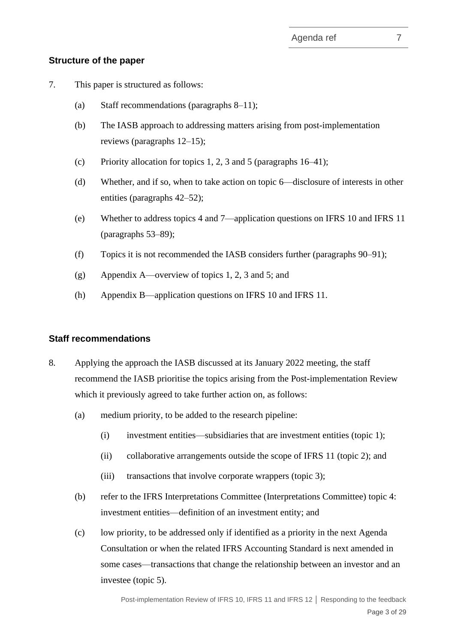### **Structure of the paper**

- 7. This paper is structured as follows:
	- (a) Staff recommendations (paragraphs [8](#page-2-0)[–11\)](#page-3-0);
	- (b) The IASB approach to addressing matters arising from post-implementation reviews (paragraphs [12–](#page-3-1)[15\)](#page-4-0);
	- (c) Priority allocation for topics 1, 2, 3 and 5 (paragraphs  $16-41$ );
	- (d) Whether, and if so, when to take action on topic 6—disclosure of interests in other entities (paragraphs [42](#page-11-0)[–52\)](#page-14-0);
	- (e) Whether to address topics 4 and 7—application questions on IFRS 10 and IFRS 11 (paragraphs [53–](#page-14-1)[89\)](#page-21-0);
	- (f) Topics it is not recommended the IASB considers further (paragraphs [90](#page-22-0)[–91\)](#page-23-0);
	- (g) Appendix A—overview of topics 1, 2, 3 and 5; and
	- (h) Appendix B—application questions on IFRS 10 and IFRS 11.

#### **Staff recommendations**

- <span id="page-2-0"></span>8. Applying the approach the IASB discussed at its January 2022 meeting, the staff recommend the IASB prioritise the topics arising from the Post-implementation Review which it previously agreed to take further action on, as follows:
	- (a) medium priority, to be added to the research pipeline:
		- (i) investment entities—subsidiaries that are investment entities (topic 1);
		- (ii) collaborative arrangements outside the scope of IFRS 11 (topic 2); and
		- (iii) transactions that involve corporate wrappers (topic 3);
	- (b) refer to the IFRS Interpretations Committee (Interpretations Committee) topic 4: investment entities—definition of an investment entity; and
	- (c) low priority, to be addressed only if identified as a priority in the next Agenda Consultation or when the related IFRS Accounting Standard is next amended in some cases—transactions that change the relationship between an investor and an investee (topic 5).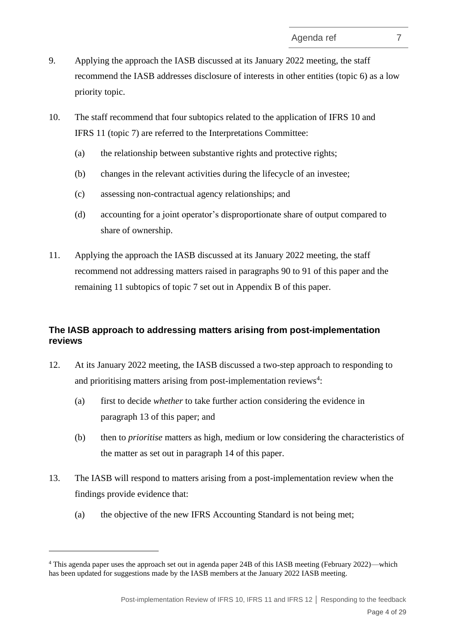- 9. Applying the approach the IASB discussed at its January 2022 meeting, the staff recommend the IASB addresses disclosure of interests in other entities (topic 6) as a low priority topic.
- 10. The staff recommend that four subtopics related to the application of IFRS 10 and IFRS 11 (topic 7) are referred to the Interpretations Committee:
	- (a) the relationship between substantive rights and protective rights;
	- (b) changes in the relevant activities during the lifecycle of an investee;
	- (c) assessing non-contractual agency relationships; and
	- (d) accounting for a joint operator's disproportionate share of output compared to share of ownership.
- <span id="page-3-0"></span>11. Applying the approach the IASB discussed at its January 2022 meeting, the staff recommend not addressing matters raised in paragraphs [90](#page-22-0) to [91](#page-23-0) of this paper and the remaining 11 subtopics of topic 7 set out in Appendix B of this paper.

# **The IASB approach to addressing matters arising from post-implementation reviews**

- <span id="page-3-1"></span>12. At its January 2022 meeting, the IASB discussed a two-step approach to responding to and prioritising matters arising from post-implementation reviews<sup>4</sup>:
	- (a) first to decide *whether* to take further action considering the evidence in paragraph [13](#page-3-2) of this paper; and
	- (b) then to *prioritise* matters as high, medium or low considering the characteristics of the matter as set out in paragraph [14](#page-4-1) of this paper.
- <span id="page-3-2"></span>13. The IASB will respond to matters arising from a post-implementation review when the findings provide evidence that:
	- (a) the objective of the new IFRS Accounting Standard is not being met;

<sup>4</sup> This agenda paper uses the approach set out in agenda paper 24B of this IASB meeting (February 2022)—which has been updated for suggestions made by the IASB members at the January 2022 IASB meeting.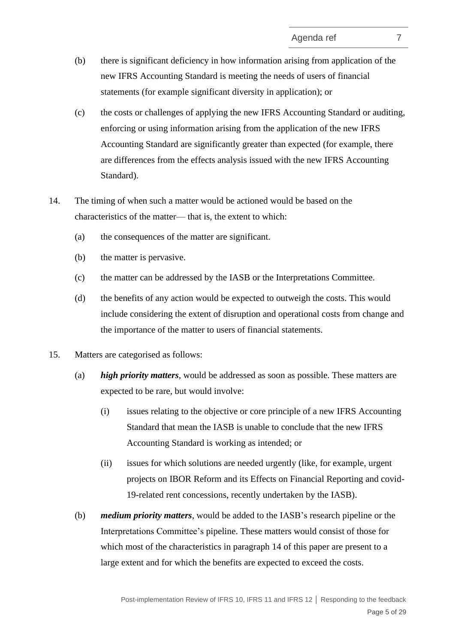- <span id="page-4-2"></span>(b) there is significant deficiency in how information arising from application of the new IFRS Accounting Standard is meeting the needs of users of financial statements (for example significant diversity in application); or
- (c) the costs or challenges of applying the new IFRS Accounting Standard or auditing, enforcing or using information arising from the application of the new IFRS Accounting Standard are significantly greater than expected (for example, there are differences from the effects analysis issued with the new IFRS Accounting Standard).
- <span id="page-4-4"></span><span id="page-4-3"></span><span id="page-4-1"></span>14. The timing of when such a matter would be actioned would be based on the characteristics of the matter— that is, the extent to which:
	- (a) the consequences of the matter are significant.
	- (b) the matter is pervasive.
	- (c) the matter can be addressed by the IASB or the Interpretations Committee.
	- (d) the benefits of any action would be expected to outweigh the costs. This would include considering the extent of disruption and operational costs from change and the importance of the matter to users of financial statements.
- <span id="page-4-0"></span>15. Matters are categorised as follows:
	- (a) *high priority matters*, would be addressed as soon as possible. These matters are expected to be rare, but would involve:
		- (i) issues relating to the objective or core principle of a new IFRS Accounting Standard that mean the IASB is unable to conclude that the new IFRS Accounting Standard is working as intended; or
		- (ii) issues for which solutions are needed urgently (like, for example, urgent projects on IBOR Reform and its Effects on Financial Reporting and covid-19-related rent concessions, recently undertaken by the IASB).
	- (b) *medium priority matters*, would be added to the IASB's research pipeline or the Interpretations Committee's pipeline. These matters would consist of those for which most of the characteristics in paragraph [14](#page-4-1) of this paper are present to a large extent and for which the benefits are expected to exceed the costs.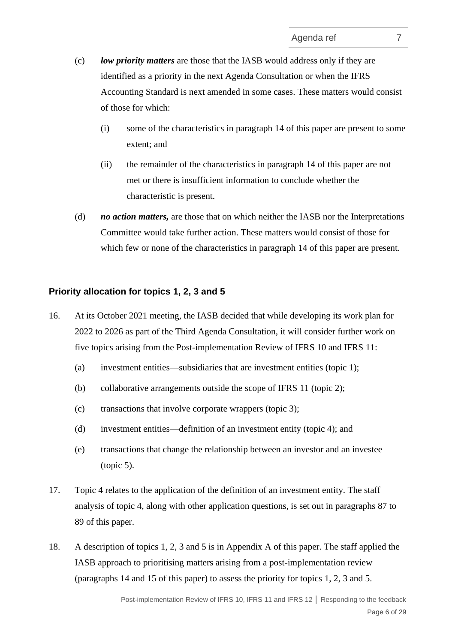- (c) *low priority matters* are those that the IASB would address only if they are identified as a priority in the next Agenda Consultation or when the IFRS Accounting Standard is next amended in some cases. These matters would consist of those for which:
	- (i) some of the characteristics in paragraph [14](#page-4-1) of this paper are present to some extent; and
	- (ii) the remainder of the characteristics in paragraph [14](#page-4-1) of this paper are not met or there is insufficient information to conclude whether the characteristic is present.
- (d) *no action matters,* are those that on which neither the IASB nor the Interpretations Committee would take further action. These matters would consist of those for which few or none of the characteristics in paragraph [14](#page-4-1) of this paper are present.

### **Priority allocation for topics 1, 2, 3 and 5**

- <span id="page-5-0"></span>16. At its October 2021 meeting, the IASB decided that while developing its work plan for 2022 to 2026 as part of the Third Agenda Consultation, it will consider further work on five topics arising from the Post-implementation Review of IFRS 10 and IFRS 11:
	- (a) investment entities—subsidiaries that are investment entities (topic 1);
	- (b) collaborative arrangements outside the scope of IFRS 11 (topic 2);
	- (c) transactions that involve corporate wrappers (topic 3);
	- (d) investment entities—definition of an investment entity (topic 4); and
	- (e) transactions that change the relationship between an investor and an investee (topic 5).
- 17. Topic 4 relates to the application of the definition of an investment entity. The staff analysis of topic 4, along with other application questions, is set out in paragraphs [87](#page-21-1) to [89](#page-21-0) of this paper.
- 18. A description of topics 1, 2, 3 and 5 is in Appendix A of this paper. The staff applied the IASB approach to prioritising matters arising from a post-implementation review (paragraphs [14](#page-4-1) and [15](#page-4-0) of this paper) to assess the priority for topics 1, 2, 3 and 5.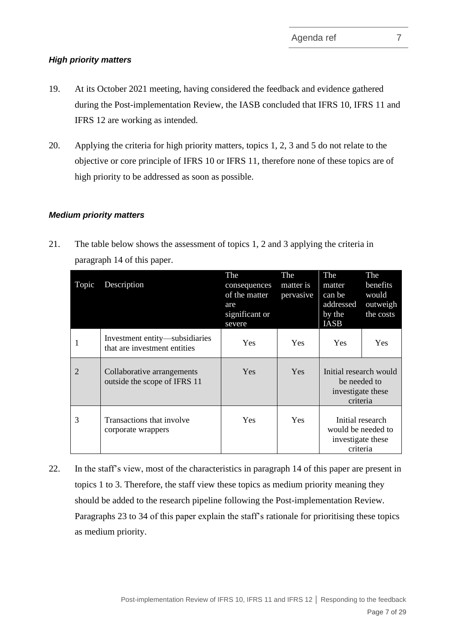### *High priority matters*

- 19. At its October 2021 meeting, having considered the feedback and evidence gathered during the Post-implementation Review, the IASB concluded that IFRS 10, IFRS 11 and IFRS 12 are working as intended.
- 20. Applying the criteria for high priority matters, topics 1, 2, 3 and 5 do not relate to the objective or core principle of IFRS 10 or IFRS 11, therefore none of these topics are of high priority to be addressed as soon as possible.

# *Medium priority matters*

21. The table below shows the assessment of topics 1, 2 and 3 applying the criteria in paragraph [14](#page-4-1) of this paper.

| Topic          | Description                                                    | The<br>consequences<br>of the matter<br>are<br>significant or<br>severe | The<br>matter is<br>pervasive | The<br>matter<br>can be<br>addressed<br>by the<br>IASB                  | The<br>benefits<br>would<br>outweigh<br>the costs |
|----------------|----------------------------------------------------------------|-------------------------------------------------------------------------|-------------------------------|-------------------------------------------------------------------------|---------------------------------------------------|
|                | Investment entity—subsidiaries<br>that are investment entities | Yes                                                                     | <b>Yes</b>                    | <b>Yes</b>                                                              | Yes                                               |
| $\overline{2}$ | Collaborative arrangements<br>outside the scope of IFRS 11     | Yes                                                                     | Yes                           | Initial research would<br>be needed to<br>investigate these<br>criteria |                                                   |
| 3              | Transactions that involve<br>corporate wrappers                | <b>Yes</b>                                                              | <b>Yes</b>                    | Initial research<br>would be needed to<br>investigate these<br>criteria |                                                   |

22. In the staff's view, most of the characteristics in paragraph [14](#page-4-1) of this paper are present in topics 1 to 3. Therefore, the staff view these topics as medium priority meaning they should be added to the research pipeline following the Post-implementation Review. Paragraphs [23](#page-7-0) to [34](#page-9-0) of this paper explain the staff's rationale for prioritising these topics as medium priority.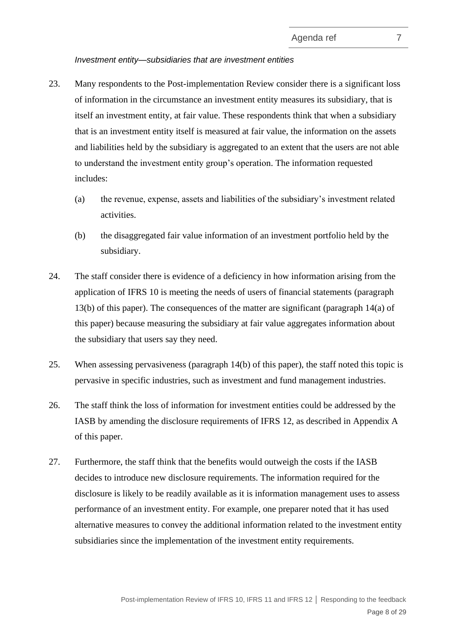#### *Investment entity—subsidiaries that are investment entities*

- <span id="page-7-0"></span>23. Many respondents to the Post-implementation Review consider there is a significant loss of information in the circumstance an investment entity measures its subsidiary, that is itself an investment entity, at fair value. These respondents think that when a subsidiary that is an investment entity itself is measured at fair value, the information on the assets and liabilities held by the subsidiary is aggregated to an extent that the users are not able to understand the investment entity group's operation. The information requested includes:
	- (a) the revenue, expense, assets and liabilities of the subsidiary's investment related activities.
	- (b) the disaggregated fair value information of an investment portfolio held by the subsidiary.
- 24. The staff consider there is evidence of a deficiency in how information arising from the application of IFRS 10 is meeting the needs of users of financial statements (paragraph [13\(b\)](#page-4-2) of this paper). The consequences of the matter are significant (paragraph [14\(a\)](#page-4-3) of this paper) because measuring the subsidiary at fair value aggregates information about the subsidiary that users say they need.
- 25. When assessing pervasiveness (paragraph [14\(b\)](#page-4-4) of this paper), the staff noted this topic is pervasive in specific industries, such as investment and fund management industries.
- 26. The staff think the loss of information for investment entities could be addressed by the IASB by amending the disclosure requirements of IFRS 12, as described in Appendix A of this paper.
- 27. Furthermore, the staff think that the benefits would outweigh the costs if the IASB decides to introduce new disclosure requirements. The information required for the disclosure is likely to be readily available as it is information management uses to assess performance of an investment entity. For example, one preparer noted that it has used alternative measures to convey the additional information related to the investment entity subsidiaries since the implementation of the investment entity requirements.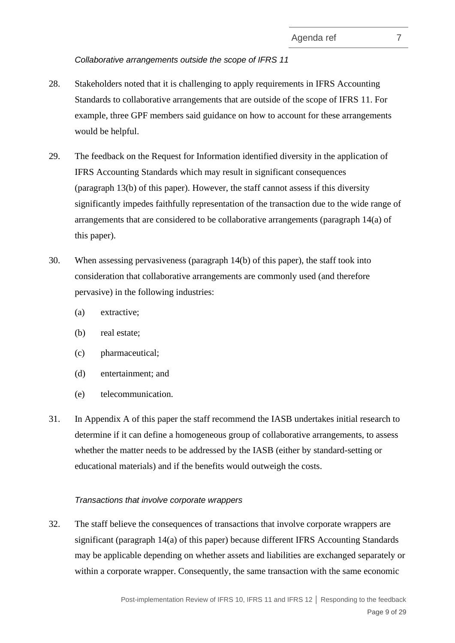*Collaborative arrangements outside the scope of IFRS 11*

- 28. Stakeholders noted that it is challenging to apply requirements in IFRS Accounting Standards to collaborative arrangements that are outside of the scope of IFRS 11. For example, three GPF members said guidance on how to account for these arrangements would be helpful.
- 29. The feedback on the Request for Information identified diversity in the application of IFRS Accounting Standards which may result in significant consequences (paragraph [13\(b\)](#page-4-2) of this paper). However, the staff cannot assess if this diversity significantly impedes faithfully representation of the transaction due to the wide range of arrangements that are considered to be collaborative arrangements (paragraph [14\(a\)](#page-4-3) of this paper).
- 30. When assessing pervasiveness (paragraph [14\(b\)](#page-4-4) of this paper), the staff took into consideration that collaborative arrangements are commonly used (and therefore pervasive) in the following industries:
	- (a) extractive;
	- (b) real estate;
	- (c) pharmaceutical;
	- (d) entertainment; and
	- (e) telecommunication.
- 31. In Appendix A of this paper the staff recommend the IASB undertakes initial research to determine if it can define a homogeneous group of collaborative arrangements, to assess whether the matter needs to be addressed by the IASB (either by standard-setting or educational materials) and if the benefits would outweigh the costs.

### *Transactions that involve corporate wrappers*

32. The staff believe the consequences of transactions that involve corporate wrappers are significant (paragraph [14\(a\)](#page-4-3) of this paper) because different IFRS Accounting Standards may be applicable depending on whether assets and liabilities are exchanged separately or within a corporate wrapper. Consequently, the same transaction with the same economic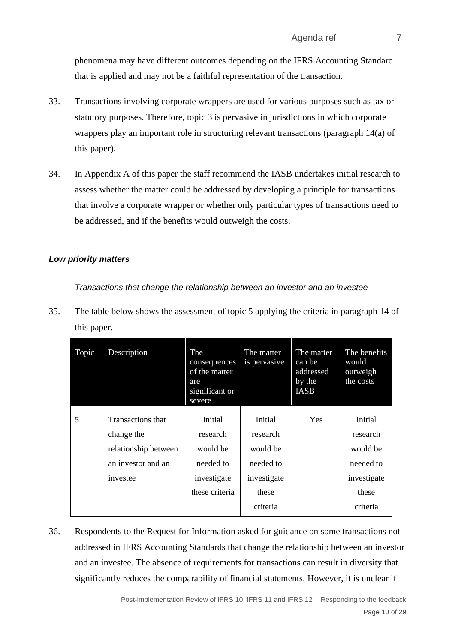phenomena may have different outcomes depending on the IFRS Accounting Standard that is applied and may not be a faithful representation of the transaction.

- 33. Transactions involving corporate wrappers are used for various purposes such as tax or statutory purposes. Therefore, topic 3 is pervasive in jurisdictions in which corporate wrappers play an important role in structuring relevant transactions (paragraph [14\(a\)](#page-4-3) of this paper).
- <span id="page-9-0"></span>34. In Appendix A of this paper the staff recommend the IASB undertakes initial research to assess whether the matter could be addressed by developing a principle for transactions that involve a corporate wrapper or whether only particular types of transactions need to be addressed, and if the benefits would outweigh the costs.

#### *Low priority matters*

*Transactions that change the relationship between an investor and an investee*

35. The table below shows the assessment of topic 5 applying the criteria in paragraph [14](#page-4-1) of this paper.

| Topic | Description          | The<br>consequences<br>of the matter<br>are<br>significant or<br>severe | The matter<br>is pervasive | The matter<br>can be<br>addressed<br>by the<br><b>IASB</b> | The benefits<br>would<br>outweigh<br>the costs |
|-------|----------------------|-------------------------------------------------------------------------|----------------------------|------------------------------------------------------------|------------------------------------------------|
| 5     | Transactions that    | Initial                                                                 | Initial                    | <b>Yes</b>                                                 | Initial                                        |
|       | change the           | research                                                                | research                   |                                                            | research                                       |
|       | relationship between | would be                                                                | would be                   |                                                            | would be                                       |
|       | an investor and an   | needed to                                                               | needed to                  |                                                            | needed to                                      |
|       | investee             | investigate                                                             | investigate                |                                                            | investigate                                    |
|       |                      | these criteria                                                          | these                      |                                                            | these                                          |
|       |                      |                                                                         | criteria                   |                                                            | criteria                                       |

36. Respondents to the Request for Information asked for guidance on some transactions not addressed in IFRS Accounting Standards that change the relationship between an investor and an investee. The absence of requirements for transactions can result in diversity that significantly reduces the comparability of financial statements. However, it is unclear if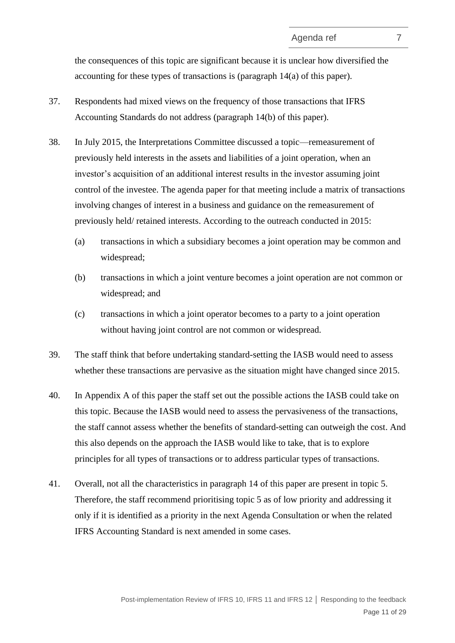the consequences of this topic are significant because it is unclear how diversified the accounting for these types of transactions is (paragraph [14\(a\)](#page-4-3) of this paper).

- 37. Respondents had mixed views on the frequency of those transactions that IFRS Accounting Standards do not address (paragraph [14\(b\)](#page-4-4) of this paper).
- 38. In July 2015, the Interpretations Committee discussed a topic—remeasurement of previously held interests in the assets and liabilities of a joint operation, when an investor's acquisition of an additional interest results in the investor assuming joint control of the investee. The agenda paper for that meeting include a matrix of transactions involving changes of interest in a business and guidance on the remeasurement of previously held/ retained interests. According to the outreach conducted in 2015:
	- (a) transactions in which a subsidiary becomes a joint operation may be common and widespread;
	- (b) transactions in which a joint venture becomes a joint operation are not common or widespread; and
	- (c) transactions in which a joint operator becomes to a party to a joint operation without having joint control are not common or widespread.
- 39. The staff think that before undertaking standard-setting the IASB would need to assess whether these transactions are pervasive as the situation might have changed since 2015.
- 40. In Appendix A of this paper the staff set out the possible actions the IASB could take on this topic. Because the IASB would need to assess the pervasiveness of the transactions, the staff cannot assess whether the benefits of standard-setting can outweigh the cost. And this also depends on the approach the IASB would like to take, that is to explore principles for all types of transactions or to address particular types of transactions.
- <span id="page-10-0"></span>41. Overall, not all the characteristics in paragraph [14](#page-4-1) of this paper are present in topic 5. Therefore, the staff recommend prioritising topic 5 as of low priority and addressing it only if it is identified as a priority in the next Agenda Consultation or when the related IFRS Accounting Standard is next amended in some cases.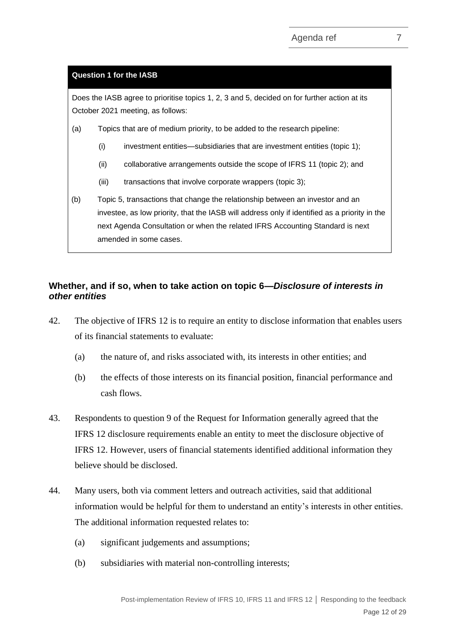#### **Question 1 for the IASB**

Does the IASB agree to prioritise topics 1, 2, 3 and 5, decided on for further action at its October 2021 meeting, as follows:

- (a) Topics that are of medium priority, to be added to the research pipeline:
	- (i) investment entities—subsidiaries that are investment entities (topic 1);
	- (ii) collaborative arrangements outside the scope of IFRS 11 (topic 2); and
	- (iii) transactions that involve corporate wrappers (topic 3);
- (b) Topic 5, transactions that change the relationship between an investor and an investee, as low priority, that the IASB will address only if identified as a priority in the next Agenda Consultation or when the related IFRS Accounting Standard is next amended in some cases.

# **Whether, and if so, when to take action on topic 6***—Disclosure of interests in other entities*

- <span id="page-11-0"></span>42. The objective of IFRS 12 is to require an entity to disclose information that enables users of its financial statements to evaluate:
	- (a) the nature of, and risks associated with, its interests in other entities; and
	- (b) the effects of those interests on its financial position, financial performance and cash flows.
- 43. Respondents to question 9 of the Request for Information generally agreed that the IFRS 12 disclosure requirements enable an entity to meet the disclosure objective of IFRS 12. However, users of financial statements identified additional information they believe should be disclosed.
- <span id="page-11-1"></span>44. Many users, both via comment letters and outreach activities, said that additional information would be helpful for them to understand an entity's interests in other entities. The additional information requested relates to:
	- (a) significant judgements and assumptions;
	- (b) subsidiaries with material non-controlling interests;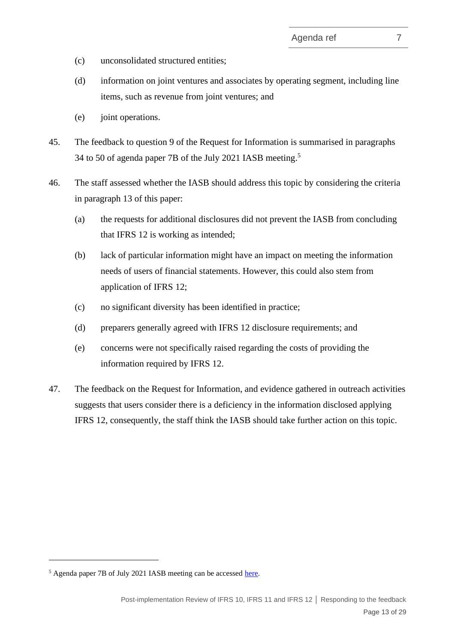- (c) unconsolidated structured entities;
- (d) information on joint ventures and associates by operating segment, including line items, such as revenue from joint ventures; and
- (e) joint operations.
- 45. The feedback to question 9 of the Request for Information is summarised in paragraphs 34 to 50 of agenda paper 7B of the July 2021 IASB meeting. 5
- 46. The staff assessed whether the IASB should address this topic by considering the criteria in paragraph [13](#page-3-2) of this paper:
	- (a) the requests for additional disclosures did not prevent the IASB from concluding that IFRS 12 is working as intended;
	- (b) lack of particular information might have an impact on meeting the information needs of users of financial statements. However, this could also stem from application of IFRS 12;
	- (c) no significant diversity has been identified in practice;
	- (d) preparers generally agreed with IFRS 12 disclosure requirements; and
	- (e) concerns were not specifically raised regarding the costs of providing the information required by IFRS 12.
- 47. The feedback on the Request for Information, and evidence gathered in outreach activities suggests that users consider there is a deficiency in the information disclosed applying IFRS 12, consequently, the staff think the IASB should take further action on this topic.

 $<sup>5</sup>$  Agenda paper 7B of July 2021 IASB meeting can be accessed [here.](https://www.ifrs.org/content/dam/ifrs/meetings/2021/july/iasb/ap7b-analysis-of-feedback-ifrs-11-ifrs-12-and-other.pdf)</sup>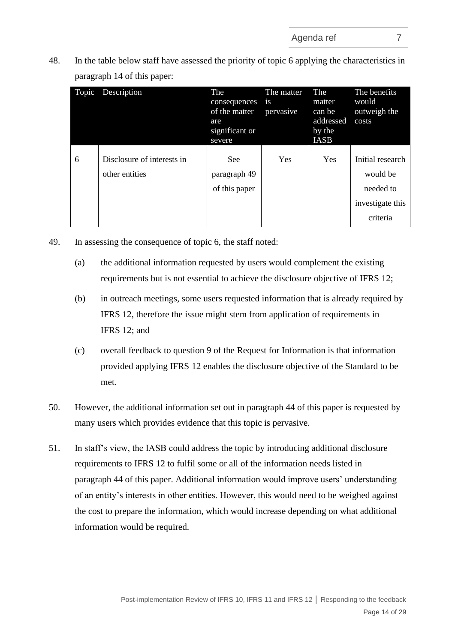48. In the table below staff have assessed the priority of topic 6 applying the characteristics in paragraph [14](#page-4-1) of this paper:

| Topic | Description                                  | The<br>consequences<br>of the matter<br>are<br>significant or<br>severe | The matter<br><i>is</i><br>pervasive | The<br>matter<br>can be<br>addressed<br>by the<br><b>IASB</b> | The benefits<br>would<br>outweigh the<br>costs                            |
|-------|----------------------------------------------|-------------------------------------------------------------------------|--------------------------------------|---------------------------------------------------------------|---------------------------------------------------------------------------|
| 6     | Disclosure of interests in<br>other entities | <b>See</b><br>paragraph 49<br>of this paper                             | Yes                                  | Yes                                                           | Initial research<br>would be<br>needed to<br>investigate this<br>criteria |

- <span id="page-13-0"></span>49. In assessing the consequence of topic 6, the staff noted:
	- (a) the additional information requested by users would complement the existing requirements but is not essential to achieve the disclosure objective of IFRS 12;
	- (b) in outreach meetings, some users requested information that is already required by IFRS 12, therefore the issue might stem from application of requirements in IFRS 12; and
	- (c) overall feedback to question 9 of the Request for Information is that information provided applying IFRS 12 enables the disclosure objective of the Standard to be met.
- 50. However, the additional information set out in paragraph [44](#page-11-1) of this paper is requested by many users which provides evidence that this topic is pervasive.
- 51. In staff's view, the IASB could address the topic by introducing additional disclosure requirements to IFRS 12 to fulfil some or all of the information needs listed in paragraph [44](#page-11-1) of this paper. Additional information would improve users' understanding of an entity's interests in other entities. However, this would need to be weighed against the cost to prepare the information, which would increase depending on what additional information would be required.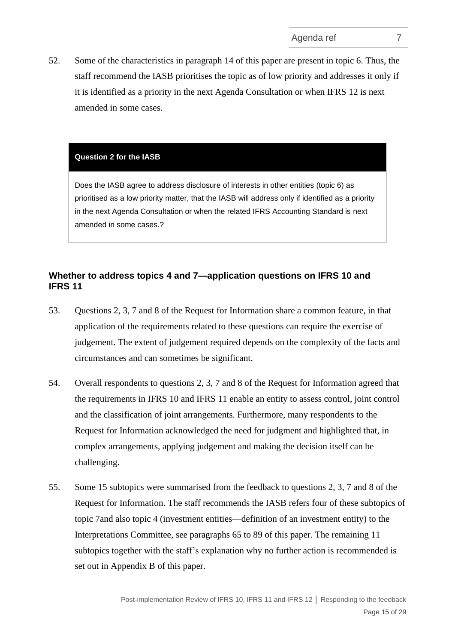<span id="page-14-0"></span>52. Some of the characteristics in paragraph 14 of this paper are present in topic 6. Thus, the staff recommend the IASB prioritises th[e top](#page-4-1)ic as of low priority and addresses it only if it is identified as a priority in the next Agenda Consultation or when IFRS 12 is next amended in some cases.

#### **Question 2 for the IASB**

Does the IASB agree to address disclosure of interests in other entities (topic 6) as prioritised as a low priority matter, that the IASB will address only if identified as a priority in the next Agenda Consultation or when the related IFRS Accounting Standard is next amended in some cases.?

# **Whether to address topics 4 and 7—application questions on IFRS 10 and IFRS 11**

- <span id="page-14-1"></span>53. Questions 2, 3, 7 and 8 of the Request for Information share a common feature, in that application of the requirements related to these questions can require the exercise of judgement. The extent of judgement required depends on the complexity of the facts and circumstances and can sometimes be significant.
- 54. Overall respondents to questions 2, 3, 7 and 8 of the Request for Information agreed that the requirements in IFRS 10 and IFRS 11 enable an entity to assess control, joint control and the classification of joint arrangements. Furthermore, many respondents to the Request for Information acknowledged the need for judgment and highlighted that, in complex arrangements, applying judgement and making the decision itself can be challenging.
- 55. Some 15 subtopics were summarised from the feedback to questions 2, 3, 7 and 8 of the Request for Information. The staff recommends the IASB refers four of these subtopics of topic 7and also topic 4 (investment entities—definition of an investment entity) to the Interpretations Committee, see paragraphs [65](#page-17-0) to [89](#page-21-0) of this paper. The remaining 11 subtopics together with the staff's explanation why no further action is recommended is set out in Appendix B of this paper.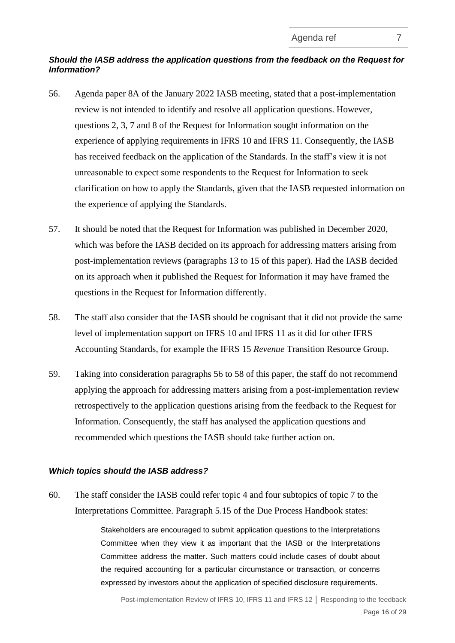# *Should the IASB address the application questions from the feedback on the Request for Information?*

- <span id="page-15-0"></span>56. Agenda paper 8A of the January 2022 IASB meeting, stated that a post-implementation review is not intended to identify and resolve all application questions. However, questions 2, 3, 7 and 8 of the Request for Information sought information on the experience of applying requirements in IFRS 10 and IFRS 11. Consequently, the IASB has received feedback on the application of the Standards. In the staff's view it is not unreasonable to expect some respondents to the Request for Information to seek clarification on how to apply the Standards, given that the IASB requested information on the experience of applying the Standards.
- 57. It should be noted that the Request for Information was published in December 2020, which was before the IASB decided on its approach for addressing matters arising from post-implementation reviews (paragraphs [13](#page-3-2) to [15](#page-4-0) of this paper). Had the IASB decided on its approach when it published the Request for Information it may have framed the questions in the Request for Information differently.
- <span id="page-15-1"></span>58. The staff also consider that the IASB should be cognisant that it did not provide the same level of implementation support on IFRS 10 and IFRS 11 as it did for other IFRS Accounting Standards, for example the IFRS 15 *Revenue* Transition Resource Group.
- 59. Taking into consideration paragraphs [56](#page-15-0) to [58](#page-15-1) of this paper, the staff do not recommend applying the approach for addressing matters arising from a post-implementation review retrospectively to the application questions arising from the feedback to the Request for Information. Consequently, the staff has analysed the application questions and recommended which questions the IASB should take further action on.

### *Which topics should the IASB address?*

60. The staff consider the IASB could refer topic 4 and four subtopics of topic 7 to the Interpretations Committee. Paragraph 5.15 of the Due Process Handbook states:

> Stakeholders are encouraged to submit application questions to the Interpretations Committee when they view it as important that the IASB or the Interpretations Committee address the matter. Such matters could include cases of doubt about the required accounting for a particular circumstance or transaction, or concerns expressed by investors about the application of specified disclosure requirements.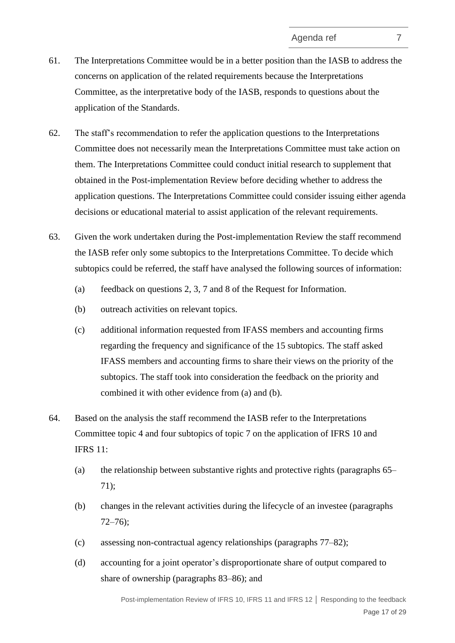- 61. The Interpretations Committee would be in a better position than the IASB to address the concerns on application of the related requirements because the Interpretations Committee, as the interpretative body of the IASB, responds to questions about the application of the Standards.
- 62. The staff's recommendation to refer the application questions to the Interpretations Committee does not necessarily mean the Interpretations Committee must take action on them. The Interpretations Committee could conduct initial research to supplement that obtained in the Post-implementation Review before deciding whether to address the application questions. The Interpretations Committee could consider issuing either agenda decisions or educational material to assist application of the relevant requirements.
- 63. Given the work undertaken during the Post-implementation Review the staff recommend the IASB refer only some subtopics to the Interpretations Committee. To decide which subtopics could be referred, the staff have analysed the following sources of information:
	- (a) feedback on questions 2, 3, 7 and 8 of the Request for Information.
	- (b) outreach activities on relevant topics.
	- (c) additional information requested from IFASS members and accounting firms regarding the frequency and significance of the 15 subtopics. The staff asked IFASS members and accounting firms to share their views on the priority of the subtopics. The staff took into consideration the feedback on the priority and combined it with other evidence from (a) and (b).
- <span id="page-16-0"></span>64. Based on the analysis the staff recommend the IASB refer to the Interpretations Committee topic 4 and four subtopics of topic 7 on the application of IFRS 10 and IFRS 11:
	- (a) the relationship between substantive rights and protective rights (paragraphs [65–](#page-17-0) [71\)](#page-18-0);
	- (b) changes in the relevant activities during the lifecycle of an investee (paragraphs [72–](#page-18-1)[76\)](#page-19-0);
	- (c) assessing non-contractual agency relationships (paragraphs [77](#page-19-1)[–82\)](#page-20-0);
	- (d) accounting for a joint operator's disproportionate share of output compared to share of ownership (paragraphs [83](#page-20-1)[–86\)](#page-21-2); and

Post-implementation Review of IFRS 10, IFRS 11 and IFRS 12 **│** Responding to the feedback Page 17 of 29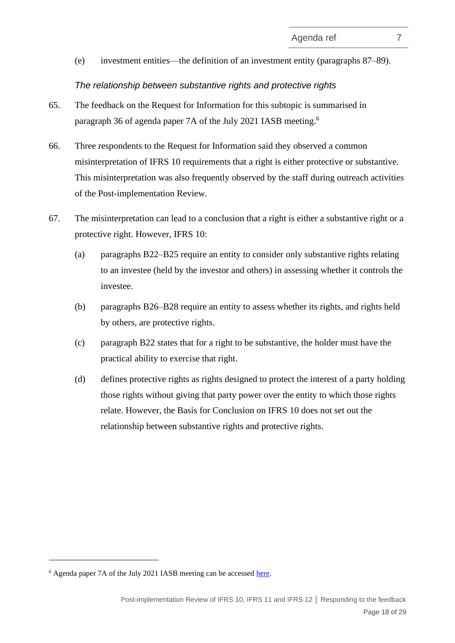(e) investment entities—the definition of an investment entity (paragraphs [87](#page-21-1)[–89\)](#page-21-0).

#### *The relationship between substantive rights and protective rights*

- <span id="page-17-0"></span>65. The feedback on the Request for Information for this subtopic is summarised in paragraph 36 of agenda paper 7A of the July 2021 IASB meeting.<sup>6</sup>
- 66. Three respondents to the Request for Information said they observed a common misinterpretation of IFRS 10 requirements that a right is either protective or substantive. This misinterpretation was also frequently observed by the staff during outreach activities of the Post-implementation Review.
- 67. The misinterpretation can lead to a conclusion that a right is either a substantive right or a protective right. However, IFRS 10:
	- (a) paragraphs B22–B25 require an entity to consider only substantive rights relating to an investee (held by the investor and others) in assessing whether it controls the investee.
	- (b) paragraphs B26–B28 require an entity to assess whether its rights, and rights held by others, are protective rights.
	- (c) paragraph B22 states that for a right to be substantive, the holder must have the practical ability to exercise that right.
	- (d) defines protective rights as rights designed to protect the interest of a party holding those rights without giving that party power over the entity to which those rights relate. However, the Basis for Conclusion on IFRS 10 does not set out the relationship between substantive rights and protective rights.

<sup>&</sup>lt;sup>6</sup> Agenda paper 7A of the July 2021 IASB meeting can be accessed [here.](https://www.ifrs.org/content/dam/ifrs/meetings/2021/july/iasb/ap7a-analysis-of-feedback-ifrs-10.pdf)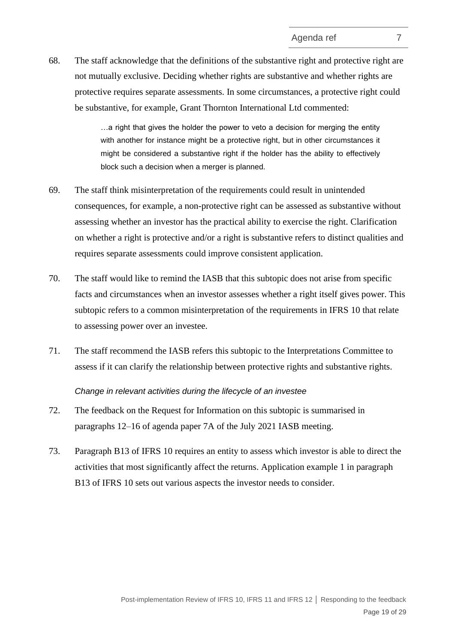68. The staff acknowledge that the definitions of the substantive right and protective right are not mutually exclusive. Deciding whether rights are substantive and whether rights are protective requires separate assessments. In some circumstances, a protective right could be substantive, for example, Grant Thornton International Ltd commented:

> …a right that gives the holder the power to veto a decision for merging the entity with another for instance might be a protective right, but in other circumstances it might be considered a substantive right if the holder has the ability to effectively block such a decision when a merger is planned.

- 69. The staff think misinterpretation of the requirements could result in unintended consequences, for example, a non-protective right can be assessed as substantive without assessing whether an investor has the practical ability to exercise the right. Clarification on whether a right is protective and/or a right is substantive refers to distinct qualities and requires separate assessments could improve consistent application.
- 70. The staff would like to remind the IASB that this subtopic does not arise from specific facts and circumstances when an investor assesses whether a right itself gives power. This subtopic refers to a common misinterpretation of the requirements in IFRS 10 that relate to assessing power over an investee.
- <span id="page-18-0"></span>71. The staff recommend the IASB refers this subtopic to the Interpretations Committee to assess if it can clarify the relationship between protective rights and substantive rights.

*Change in relevant activities during the lifecycle of an investee*

- <span id="page-18-1"></span>72. The feedback on the Request for Information on this subtopic is summarised in paragraphs 12–16 of agenda paper 7A of the July 2021 IASB meeting.
- 73. Paragraph B13 of IFRS 10 requires an entity to assess which investor is able to direct the activities that most significantly affect the returns. Application example 1 in paragraph B13 of IFRS 10 sets out various aspects the investor needs to consider.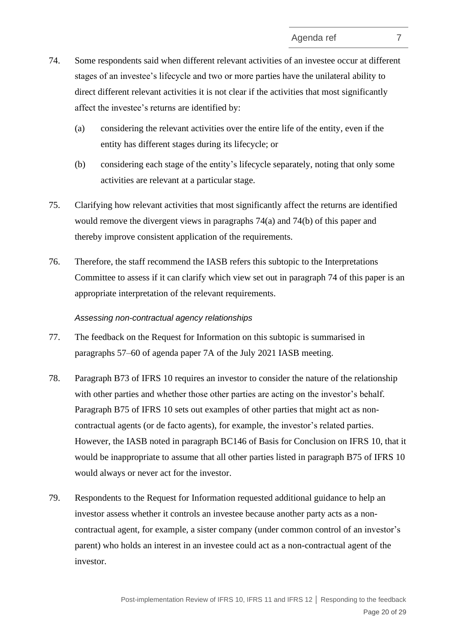- <span id="page-19-4"></span><span id="page-19-2"></span>74. Some respondents said when different relevant activities of an investee occur at different stages of an investee's lifecycle and two or more parties have the unilateral ability to direct different relevant activities it is not clear if the activities that most significantly affect the investee's returns are identified by:
	- (a) considering the relevant activities over the entire life of the entity, even if the entity has different stages during its lifecycle; or
	- (b) considering each stage of the entity's lifecycle separately, noting that only some activities are relevant at a particular stage.
- <span id="page-19-3"></span>75. Clarifying how relevant activities that most significantly affect the returns are identified would remove the divergent views in paragraphs [74\(a\)](#page-19-2) and [74\(b\)](#page-19-3) of this paper and thereby improve consistent application of the requirements.
- <span id="page-19-0"></span>76. Therefore, the staff recommend the IASB refers this subtopic to the Interpretations Committee to assess if it can clarify which view set out in paragraph [74](#page-19-4) of this paper is an appropriate interpretation of the relevant requirements.

#### *Assessing non-contractual agency relationships*

- <span id="page-19-1"></span>77. The feedback on the Request for Information on this subtopic is summarised in paragraphs 57–60 of agenda paper 7A of the July 2021 IASB meeting.
- 78. Paragraph B73 of IFRS 10 requires an investor to consider the nature of the relationship with other parties and whether those other parties are acting on the investor's behalf. Paragraph B75 of IFRS 10 sets out examples of other parties that might act as noncontractual agents (or de facto agents), for example, the investor's related parties. However, the IASB noted in paragraph BC146 of Basis for Conclusion on IFRS 10, that it would be inappropriate to assume that all other parties listed in paragraph B75 of IFRS 10 would always or never act for the investor.
- 79. Respondents to the Request for Information requested additional guidance to help an investor assess whether it controls an investee because another party acts as a noncontractual agent, for example, a sister company (under common control of an investor's parent) who holds an interest in an investee could act as a non-contractual agent of the investor.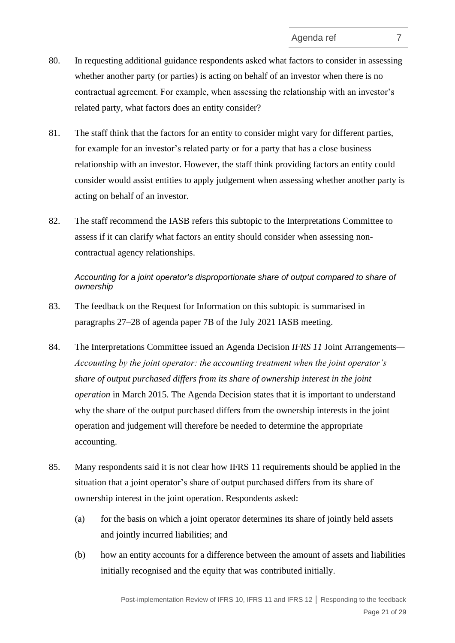- 80. In requesting additional guidance respondents asked what factors to consider in assessing whether another party (or parties) is acting on behalf of an investor when there is no contractual agreement. For example, when assessing the relationship with an investor's related party, what factors does an entity consider?
- 81. The staff think that the factors for an entity to consider might vary for different parties, for example for an investor's related party or for a party that has a close business relationship with an investor. However, the staff think providing factors an entity could consider would assist entities to apply judgement when assessing whether another party is acting on behalf of an investor.
- <span id="page-20-0"></span>82. The staff recommend the IASB refers this subtopic to the Interpretations Committee to assess if it can clarify what factors an entity should consider when assessing noncontractual agency relationships.

*Accounting for a joint operator's disproportionate share of output compared to share of ownership*

- <span id="page-20-1"></span>83. The feedback on the Request for Information on this subtopic is summarised in paragraphs 27–28 of agenda paper 7B of the July 2021 IASB meeting.
- 84. The Interpretations Committee issued an Agenda Decision *IFRS 11* Joint Arrangements*— Accounting by the joint operator: the accounting treatment when the joint operator's share of output purchased differs from its share of ownership interest in the joint operation* in March 2015*.* The Agenda Decision states that it is important to understand why the share of the output purchased differs from the ownership interests in the joint operation and judgement will therefore be needed to determine the appropriate accounting.
- 85. Many respondents said it is not clear how IFRS 11 requirements should be applied in the situation that a joint operator's share of output purchased differs from its share of ownership interest in the joint operation. Respondents asked:
	- (a) for the basis on which a joint operator determines its share of jointly held assets and jointly incurred liabilities; and
	- (b) how an entity accounts for a difference between the amount of assets and liabilities initially recognised and the equity that was contributed initially.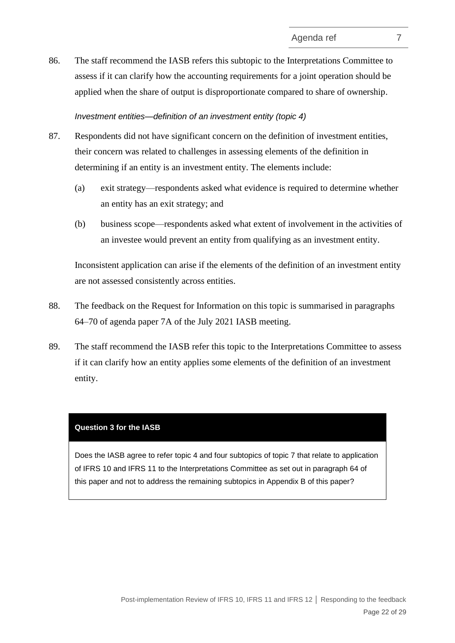<span id="page-21-2"></span>86. The staff recommend the IASB refers this subtopic to the Interpretations Committee to assess if it can clarify how the accounting requirements for a joint operation should be applied when the share of output is disproportionate compared to share of ownership.

#### *Investment entities—definition of an investment entity (topic 4)*

- <span id="page-21-1"></span>87. Respondents did not have significant concern on the definition of investment entities, their concern was related to challenges in assessing elements of the definition in determining if an entity is an investment entity. The elements include:
	- (a) exit strategy—respondents asked what evidence is required to determine whether an entity has an exit strategy; and
	- (b) business scope—respondents asked what extent of involvement in the activities of an investee would prevent an entity from qualifying as an investment entity.

Inconsistent application can arise if the elements of the definition of an investment entity are not assessed consistently across entities.

- 88. The feedback on the Request for Information on this topic is summarised in paragraphs 64–70 of agenda paper 7A of the July 2021 IASB meeting.
- <span id="page-21-0"></span>89. The staff recommend the IASB refer this topic to the Interpretations Committee to assess if it can clarify how an entity applies some elements of the definition of an investment entity.

#### **Question 3 for the IASB**

Does the IASB agree to refer topic 4 and four subtopics of topic 7 that relate to application of IFRS 10 and IFRS 11 to the Interpretations Committee as set out in paragraph [64](#page-16-0) of this paper and not to address the remaining subtopics in Appendix B of this paper?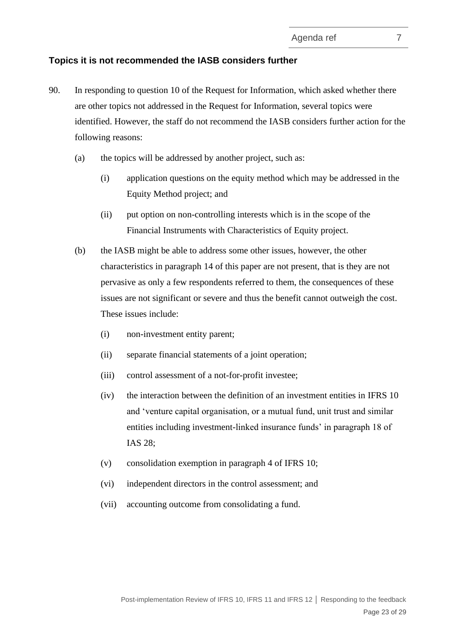#### **Topics it is not recommended the IASB considers further**

- <span id="page-22-0"></span>90. In responding to question 10 of the Request for Information, which asked whether there are other topics not addressed in the Request for Information, several topics were identified. However, the staff do not recommend the IASB considers further action for the following reasons:
	- (a) the topics will be addressed by another project, such as:
		- (i) application questions on the equity method which may be addressed in the Equity Method project; and
		- (ii) put option on non-controlling interests which is in the scope of the Financial Instruments with Characteristics of Equity project.
	- (b) the IASB might be able to address some other issues, however, the other characteristics in paragraph [14](#page-4-1) of this paper are not present, that is they are not pervasive as only a few respondents referred to them, the consequences of these issues are not significant or severe and thus the benefit cannot outweigh the cost. These issues include:
		- (i) non-investment entity parent;
		- (ii) separate financial statements of a joint operation;
		- (iii) control assessment of a not-for-profit investee;
		- (iv) the interaction between the definition of an investment entities in IFRS 10 and 'venture capital organisation, or a mutual fund, unit trust and similar entities including investment-linked insurance funds' in paragraph 18 of IAS 28;
		- (v) consolidation exemption in paragraph 4 of IFRS 10;
		- (vi) independent directors in the control assessment; and
		- (vii) accounting outcome from consolidating a fund.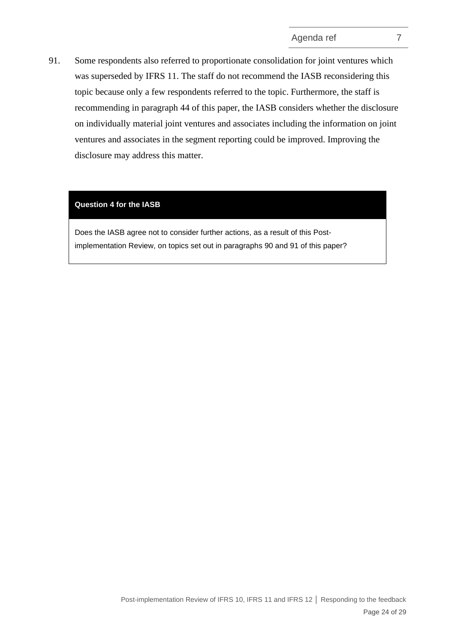<span id="page-23-0"></span>91. Some respondents also referred to proportionate consolidation for joint ventures which was superseded by IFRS 11. The staff do not recommend the IASB reconsidering this topic because only a few respondents referred to the topic. Furthermore, the staff is recommending in paragraph [44](#page-11-1) of this paper, the IASB considers whether the disclosure on individually material joint ventures and associates including the information on joint ventures and associates in the segment reporting could be improved. Improving the disclosure may address this matter.

#### **Question 4 for the IASB**

Does the IASB agree not to consider further actions, as a result of this Postimplementation Review, on topics set out in paragraphs [90](#page-22-0) and [91](#page-23-0) of this paper?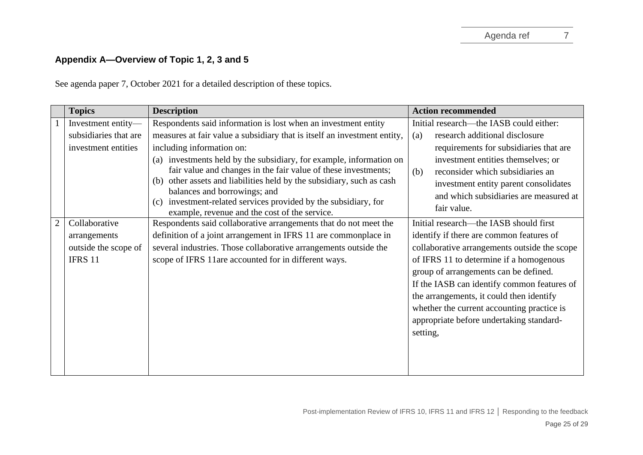# **Appendix A—Overview of Topic 1, 2, 3 and 5**

See agenda paper 7, October 2021 for a detailed description of these topics.

|                | <b>Topics</b>                                                                                  | <b>Description</b>                                                                                                                                                                                                                                                                                                                                                                                                                                                                                                                                                                                                                                                    | <b>Action recommended</b>                                                                                                                                                                                                                                                                                                                                                                                                                                                                                                                                                                                                                            |  |
|----------------|------------------------------------------------------------------------------------------------|-----------------------------------------------------------------------------------------------------------------------------------------------------------------------------------------------------------------------------------------------------------------------------------------------------------------------------------------------------------------------------------------------------------------------------------------------------------------------------------------------------------------------------------------------------------------------------------------------------------------------------------------------------------------------|------------------------------------------------------------------------------------------------------------------------------------------------------------------------------------------------------------------------------------------------------------------------------------------------------------------------------------------------------------------------------------------------------------------------------------------------------------------------------------------------------------------------------------------------------------------------------------------------------------------------------------------------------|--|
|                | Investment entity-                                                                             | Respondents said information is lost when an investment entity                                                                                                                                                                                                                                                                                                                                                                                                                                                                                                                                                                                                        | Initial research—the IASB could either:                                                                                                                                                                                                                                                                                                                                                                                                                                                                                                                                                                                                              |  |
|                | subsidiaries that are                                                                          | measures at fair value a subsidiary that is itself an investment entity,                                                                                                                                                                                                                                                                                                                                                                                                                                                                                                                                                                                              | research additional disclosure<br>(a)                                                                                                                                                                                                                                                                                                                                                                                                                                                                                                                                                                                                                |  |
| $\overline{2}$ | investment entities<br>Collaborative<br>arrangements<br>outside the scope of<br><b>IFRS 11</b> | including information on:<br>(a) investments held by the subsidiary, for example, information on<br>fair value and changes in the fair value of these investments;<br>(b) other assets and liabilities held by the subsidiary, such as cash<br>balances and borrowings; and<br>investment-related services provided by the subsidiary, for<br>(c)<br>example, revenue and the cost of the service.<br>Respondents said collaborative arrangements that do not meet the<br>definition of a joint arrangement in IFRS 11 are commonplace in<br>several industries. Those collaborative arrangements outside the<br>scope of IFRS 11are accounted for in different ways. | requirements for subsidiaries that are<br>investment entities themselves; or<br>reconsider which subsidiaries an<br>(b)<br>investment entity parent consolidates<br>and which subsidiaries are measured at<br>fair value.<br>Initial research—the IASB should first<br>identify if there are common features of<br>collaborative arrangements outside the scope<br>of IFRS 11 to determine if a homogenous<br>group of arrangements can be defined.<br>If the IASB can identify common features of<br>the arrangements, it could then identify<br>whether the current accounting practice is<br>appropriate before undertaking standard-<br>setting, |  |
|                |                                                                                                |                                                                                                                                                                                                                                                                                                                                                                                                                                                                                                                                                                                                                                                                       |                                                                                                                                                                                                                                                                                                                                                                                                                                                                                                                                                                                                                                                      |  |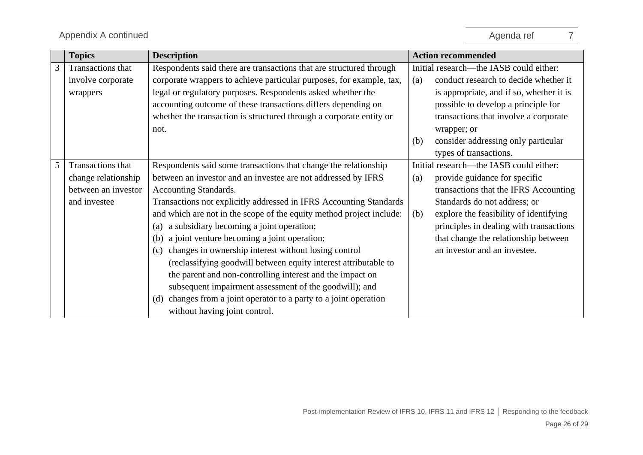|   | <b>Topics</b>       | <b>Description</b>                                                   | <b>Action recommended</b>                     |
|---|---------------------|----------------------------------------------------------------------|-----------------------------------------------|
| 3 | Transactions that   | Respondents said there are transactions that are structured through  | Initial research—the IASB could either:       |
|   | involve corporate   | corporate wrappers to achieve particular purposes, for example, tax, | conduct research to decide whether it<br>(a)  |
|   | wrappers            | legal or regulatory purposes. Respondents asked whether the          | is appropriate, and if so, whether it is      |
|   |                     | accounting outcome of these transactions differs depending on        | possible to develop a principle for           |
|   |                     | whether the transaction is structured through a corporate entity or  | transactions that involve a corporate         |
|   |                     | not.                                                                 | wrapper; or                                   |
|   |                     |                                                                      | consider addressing only particular<br>(b)    |
|   |                     |                                                                      | types of transactions.                        |
| 5 | Transactions that   | Respondents said some transactions that change the relationship      | Initial research—the IASB could either:       |
|   | change relationship | between an investor and an investee are not addressed by IFRS        | provide guidance for specific<br>(a)          |
|   | between an investor | <b>Accounting Standards.</b>                                         | transactions that the IFRS Accounting         |
|   | and investee        | Transactions not explicitly addressed in IFRS Accounting Standards   | Standards do not address; or                  |
|   |                     | and which are not in the scope of the equity method project include: | (b)<br>explore the feasibility of identifying |
|   |                     | a subsidiary becoming a joint operation;<br>(a)                      | principles in dealing with transactions       |
|   |                     | a joint venture becoming a joint operation;<br>(b)                   | that change the relationship between          |
|   |                     | changes in ownership interest without losing control<br>(c)          | an investor and an investee.                  |
|   |                     | (reclassifying goodwill between equity interest attributable to      |                                               |
|   |                     | the parent and non-controlling interest and the impact on            |                                               |
|   |                     | subsequent impairment assessment of the goodwill); and               |                                               |
|   |                     | changes from a joint operator to a party to a joint operation<br>(d) |                                               |
|   |                     | without having joint control.                                        |                                               |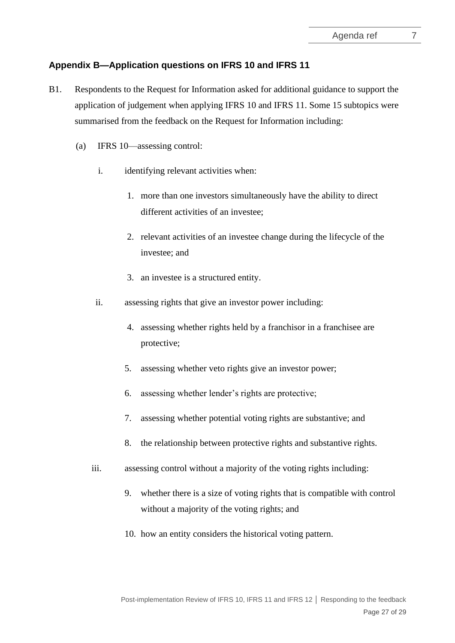# **Appendix B—Application questions on IFRS 10 and IFRS 11**

- B1. Respondents to the Request for Information asked for additional guidance to support the application of judgement when applying IFRS 10 and IFRS 11. Some 15 subtopics were summarised from the feedback on the Request for Information including:
	- (a) IFRS 10—assessing control:
		- i. identifying relevant activities when:
			- 1. more than one investors simultaneously have the ability to direct different activities of an investee;
			- 2. relevant activities of an investee change during the lifecycle of the investee; and
			- 3. an investee is a structured entity.
		- ii. assessing rights that give an investor power including:
			- 4. assessing whether rights held by a franchisor in a franchisee are protective;
			- 5. assessing whether veto rights give an investor power;
			- 6. assessing whether lender's rights are protective;
			- 7. assessing whether potential voting rights are substantive; and
			- 8. the relationship between protective rights and substantive rights.
		- iii. assessing control without a majority of the voting rights including:
			- 9. whether there is a size of voting rights that is compatible with control without a majority of the voting rights; and
			- 10. how an entity considers the historical voting pattern.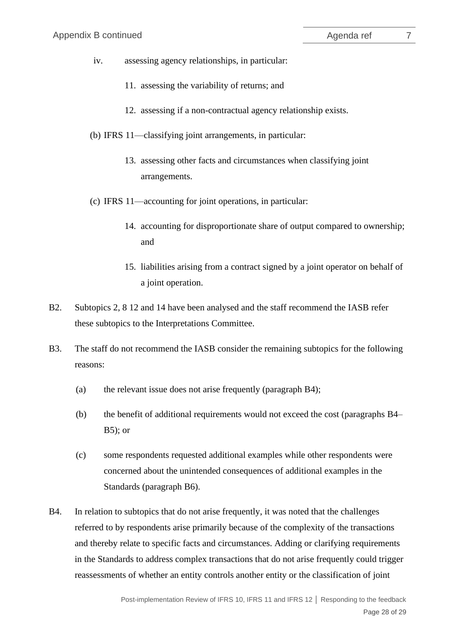- iv. assessing agency relationships, in particular:
	- 11. assessing the variability of returns; and
	- 12. assessing if a non-contractual agency relationship exists.
- (b) IFRS 11—classifying joint arrangements, in particular:
	- 13. assessing other facts and circumstances when classifying joint arrangements.
- (c) IFRS 11—accounting for joint operations, in particular:
	- 14. accounting for disproportionate share of output compared to ownership; and
	- 15. liabilities arising from a contract signed by a joint operator on behalf of a joint operation.
- B2. Subtopics 2, 8 12 and 14 have been analysed and the staff recommend the IASB refer these subtopics to the Interpretations Committee.
- B3. The staff do not recommend the IASB consider the remaining subtopics for the following reasons:
	- (a) the relevant issue does not arise frequently (paragraph [B4\)](#page-27-0);
	- (b) the benefit of additional requirements would not exceed the cost (paragraphs [B4–](#page-27-0)  $B5$ ; or
	- (c) some respondents requested additional examples while other respondents were concerned about the unintended consequences of additional examples in the Standards (paragraph [B6\)](#page-28-1).
- <span id="page-27-0"></span>B4. In relation to subtopics that do not arise frequently, it was noted that the challenges referred to by respondents arise primarily because of the complexity of the transactions and thereby relate to specific facts and circumstances. Adding or clarifying requirements in the Standards to address complex transactions that do not arise frequently could trigger reassessments of whether an entity controls another entity or the classification of joint